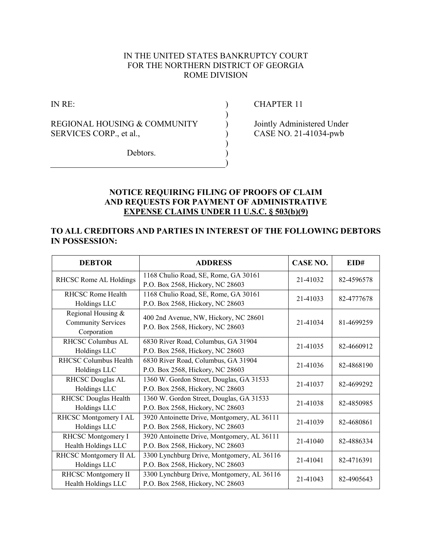# IN THE UNITED STATES BANKRUPTCY COURT FOR THE NORTHERN DISTRICT OF GEORGIA ROME DIVISION

 ) ) ) ) ) ) )

IN RE:

REGIONAL HOUSING & COMMUNITY SERVICES CORP., et al.,

CHAPTER 11

Jointly Administered Under CASE NO. 21-41034-pwb

Debtors.

# **NOTICE REQUIRING FILING OF PROOFS OF CLAIM AND REQUESTS FOR PAYMENT OF ADMINISTRATIVE EXPENSE CLAIMS UNDER 11 U.S.C. § 503(b)(9)**

#### **TO ALL CREDITORS AND PARTIES IN INTEREST OF THE FOLLOWING DEBTORS IN POSSESSION:**

| <b>DEBTOR</b>                                                  | <b>ADDRESS</b>                                                                  | <b>CASE NO.</b> | EID#       |
|----------------------------------------------------------------|---------------------------------------------------------------------------------|-----------------|------------|
| RHCSC Rome AL Holdings                                         | 1168 Chulio Road, SE, Rome, GA 30161<br>P.O. Box 2568, Hickory, NC 28603        | 21-41032        | 82-4596578 |
| <b>RHCSC Rome Health</b><br>Holdings LLC                       | 1168 Chulio Road, SE, Rome, GA 30161<br>P.O. Box 2568, Hickory, NC 28603        | 21-41033        | 82-4777678 |
| Regional Housing &<br><b>Community Services</b><br>Corporation | 400 2nd Avenue, NW, Hickory, NC 28601<br>P.O. Box 2568, Hickory, NC 28603       | 21-41034        | 81-4699259 |
| <b>RHCSC Columbus AL</b><br>Holdings LLC                       | 6830 River Road, Columbus, GA 31904<br>P.O. Box 2568, Hickory, NC 28603         | 21-41035        | 82-4660912 |
| RHCSC Columbus Health<br>Holdings LLC                          | 6830 River Road, Columbus, GA 31904<br>P.O. Box 2568, Hickory, NC 28603         | 21-41036        | 82-4868190 |
| RHCSC Douglas AL<br>Holdings LLC                               | 1360 W. Gordon Street, Douglas, GA 31533<br>P.O. Box 2568, Hickory, NC 28603    | 21-41037        | 82-4699292 |
| <b>RHCSC Douglas Health</b><br>Holdings LLC                    | 1360 W. Gordon Street, Douglas, GA 31533<br>P.O. Box 2568, Hickory, NC 28603    | 21-41038        | 82-4850985 |
| RHCSC Montgomery I AL<br>Holdings LLC                          | 3920 Antoinette Drive, Montgomery, AL 36111<br>P.O. Box 2568, Hickory, NC 28603 | 21-41039        | 82-4680861 |
| RHCSC Montgomery I<br>Health Holdings LLC                      | 3920 Antoinette Drive, Montgomery, AL 36111<br>P.O. Box 2568, Hickory, NC 28603 | 21-41040        | 82-4886334 |
| RHCSC Montgomery II AL<br>Holdings LLC                         | 3300 Lynchburg Drive, Montgomery, AL 36116<br>P.O. Box 2568, Hickory, NC 28603  | 21-41041        | 82-4716391 |
| RHCSC Montgomery II<br>Health Holdings LLC                     | 3300 Lynchburg Drive, Montgomery, AL 36116<br>P.O. Box 2568, Hickory, NC 28603  | 21-41043        | 82-4905643 |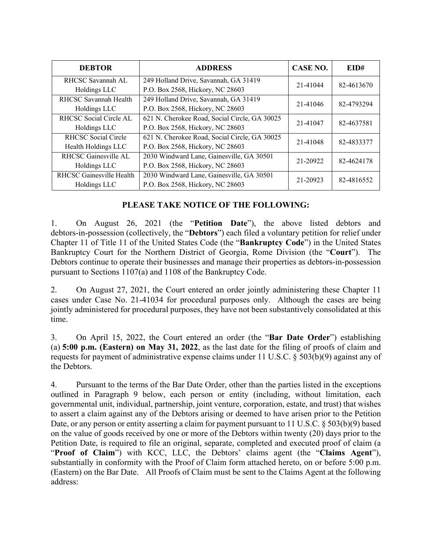| <b>DEBTOR</b>              | <b>ADDRESS</b>                                | CASE NO. | EID#       |
|----------------------------|-----------------------------------------------|----------|------------|
| RHCSC Savannah AL          | 249 Holland Drive, Savannah, GA 31419         | 21-41044 | 82-4613670 |
| Holdings LLC               | P.O. Box 2568, Hickory, NC 28603              |          |            |
| RHCSC Savannah Health      | 249 Holland Drive, Savannah, GA 31419         | 21-41046 | 82-4793294 |
| Holdings LLC               | P.O. Box 2568, Hickory, NC 28603              |          |            |
| RHCSC Social Circle AL     | 621 N. Cherokee Road, Social Circle, GA 30025 | 21-41047 | 82-4637581 |
| Holdings LLC               | P.O. Box 2568, Hickory, NC 28603              |          |            |
| <b>RHCSC Social Circle</b> | 621 N. Cherokee Road, Social Circle, GA 30025 | 21-41048 | 82-4833377 |
| Health Holdings LLC        | P.O. Box 2568, Hickory, NC 28603              |          |            |
| RHCSC Gainesville AL       | 2030 Windward Lane, Gainesville, GA 30501     | 21-20922 | 82-4624178 |
| Holdings LLC               | P.O. Box 2568, Hickory, NC 28603              |          |            |
| RHCSC Gainesville Health   | 2030 Windward Lane, Gainesville, GA 30501     | 21-20923 | 82-4816552 |
| Holdings LLC               | P.O. Box 2568, Hickory, NC 28603              |          |            |

# **PLEASE TAKE NOTICE OF THE FOLLOWING:**

1. On August 26, 2021 (the "**Petition Date**"), the above listed debtors and debtors-in-possession (collectively, the "**Debtors**") each filed a voluntary petition for relief under Chapter 11 of Title 11 of the United States Code (the "**Bankruptcy Code**") in the United States Bankruptcy Court for the Northern District of Georgia, Rome Division (the "**Court**"). The Debtors continue to operate their businesses and manage their properties as debtors-in-possession pursuant to Sections 1107(a) and 1108 of the Bankruptcy Code.

2. On August 27, 2021, the Court entered an order jointly administering these Chapter 11 cases under Case No. 21-41034 for procedural purposes only. Although the cases are being jointly administered for procedural purposes, they have not been substantively consolidated at this time.

3. On April 15, 2022, the Court entered an order (the "**Bar Date Order**") establishing (a) **5:00 p.m. (Eastern) on May 31, 2022**, as the last date for the filing of proofs of claim and requests for payment of administrative expense claims under 11 U.S.C. § 503(b)(9) against any of the Debtors.

4. Pursuant to the terms of the Bar Date Order, other than the parties listed in the exceptions outlined in Paragraph 9 below, each person or entity (including, without limitation, each governmental unit, individual, partnership, joint venture, corporation, estate, and trust) that wishes to assert a claim against any of the Debtors arising or deemed to have arisen prior to the Petition Date, or any person or entity asserting a claim for payment pursuant to 11 U.S.C. § 503(b)(9) based on the value of goods received by one or more of the Debtors within twenty (20) days prior to the Petition Date, is required to file an original, separate, completed and executed proof of claim (a "**Proof of Claim**") with KCC, LLC, the Debtors' claims agent (the "**Claims Agent**"), substantially in conformity with the Proof of Claim form attached hereto, on or before 5:00 p.m. (Eastern) on the Bar Date. All Proofs of Claim must be sent to the Claims Agent at the following address: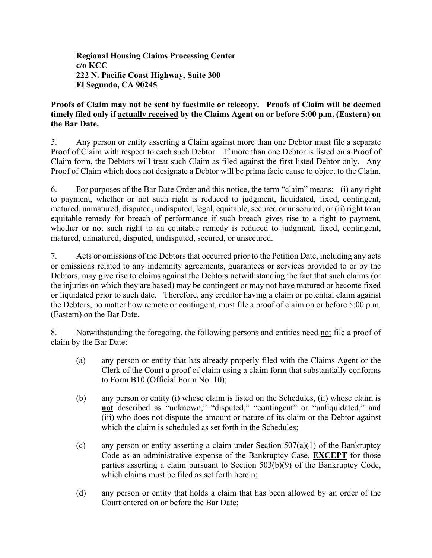**Regional Housing Claims Processing Center c/o KCC 222 N. Pacific Coast Highway, Suite 300 El Segundo, CA 90245** 

# **Proofs of Claim may not be sent by facsimile or telecopy. Proofs of Claim will be deemed timely filed only if actually received by the Claims Agent on or before 5:00 p.m. (Eastern) on the Bar Date.**

5. Any person or entity asserting a Claim against more than one Debtor must file a separate Proof of Claim with respect to each such Debtor. If more than one Debtor is listed on a Proof of Claim form, the Debtors will treat such Claim as filed against the first listed Debtor only. Any Proof of Claim which does not designate a Debtor will be prima facie cause to object to the Claim.

6. For purposes of the Bar Date Order and this notice, the term "claim" means: (i) any right to payment, whether or not such right is reduced to judgment, liquidated, fixed, contingent, matured, unmatured, disputed, undisputed, legal, equitable, secured or unsecured; or (ii) right to an equitable remedy for breach of performance if such breach gives rise to a right to payment, whether or not such right to an equitable remedy is reduced to judgment, fixed, contingent, matured, unmatured, disputed, undisputed, secured, or unsecured.

7. Acts or omissions of the Debtors that occurred prior to the Petition Date, including any acts or omissions related to any indemnity agreements, guarantees or services provided to or by the Debtors, may give rise to claims against the Debtors notwithstanding the fact that such claims (or the injuries on which they are based) may be contingent or may not have matured or become fixed or liquidated prior to such date. Therefore, any creditor having a claim or potential claim against the Debtors, no matter how remote or contingent, must file a proof of claim on or before 5:00 p.m. (Eastern) on the Bar Date.

8. Notwithstanding the foregoing, the following persons and entities need not file a proof of claim by the Bar Date:

- (a) any person or entity that has already properly filed with the Claims Agent or the Clerk of the Court a proof of claim using a claim form that substantially conforms to Form B10 (Official Form No. 10);
- (b) any person or entity (i) whose claim is listed on the Schedules, (ii) whose claim is **not** described as "unknown," "disputed," "contingent" or "unliquidated," and (iii) who does not dispute the amount or nature of its claim or the Debtor against which the claim is scheduled as set forth in the Schedules:
- (c) any person or entity asserting a claim under Section  $507(a)(1)$  of the Bankruptcy Code as an administrative expense of the Bankruptcy Case, **EXCEPT** for those parties asserting a claim pursuant to Section 503(b)(9) of the Bankruptcy Code, which claims must be filed as set forth herein;
- (d) any person or entity that holds a claim that has been allowed by an order of the Court entered on or before the Bar Date;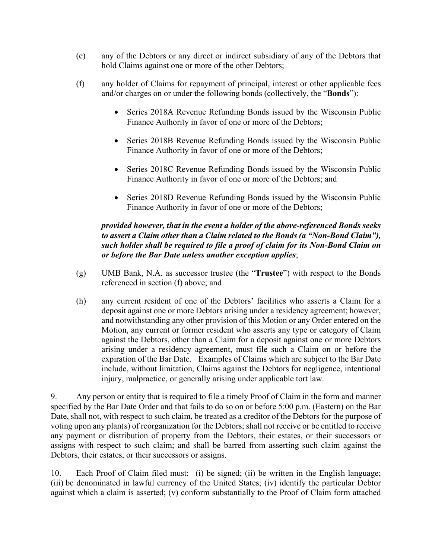- (e) any of the Debtors or any direct or indirect subsidiary of any of the Debtors that hold Claims against one or more of the other Debtors;
- (f) any holder of Claims for repayment of principal, interest or other applicable fees and/or charges on or under the following bonds (collectively, the "**Bonds**"):
	- Series 2018A Revenue Refunding Bonds issued by the Wisconsin Public Finance Authority in favor of one or more of the Debtors;
	- Series 2018B Revenue Refunding Bonds issued by the Wisconsin Public Finance Authority in favor of one or more of the Debtors;
	- Series 2018C Revenue Refunding Bonds issued by the Wisconsin Public Finance Authority in favor of one or more of the Debtors; and
	- Series 2018D Revenue Refunding Bonds issued by the Wisconsin Public Finance Authority in favor of one or more of the Debtors;

# *provided however, that in the event a holder of the above-referenced Bonds seeks to assert a Claim other than a Claim related to the Bonds (a "Non-Bond Claim"), such holder shall be required to file a proof of claim for its Non-Bond Claim on or before the Bar Date unless another exception applies*;

- (g) UMB Bank, N.A. as successor trustee (the "**Trustee**") with respect to the Bonds referenced in section (f) above; and
- (h) any current resident of one of the Debtors' facilities who asserts a Claim for a deposit against one or more Debtors arising under a residency agreement; however, and notwithstanding any other provision of this Motion or any Order entered on the Motion, any current or former resident who asserts any type or category of Claim against the Debtors, other than a Claim for a deposit against one or more Debtors arising under a residency agreement, must file such a Claim on or before the expiration of the Bar Date. Examples of Claims which are subject to the Bar Date include, without limitation, Claims against the Debtors for negligence, intentional injury, malpractice, or generally arising under applicable tort law.

9. Any person or entity that is required to file a timely Proof of Claim in the form and manner specified by the Bar Date Order and that fails to do so on or before 5:00 p.m. (Eastern) on the Bar Date, shall not, with respect to such claim, be treated as a creditor of the Debtors for the purpose of voting upon any plan(s) of reorganization for the Debtors; shall not receive or be entitled to receive any payment or distribution of property from the Debtors, their estates, or their successors or assigns with respect to such claim; and shall be barred from asserting such claim against the Debtors, their estates, or their successors or assigns.

10. Each Proof of Claim filed must: (i) be signed; (ii) be written in the English language; (iii) be denominated in lawful currency of the United States; (iv) identify the particular Debtor against which a claim is asserted; (v) conform substantially to the Proof of Claim form attached